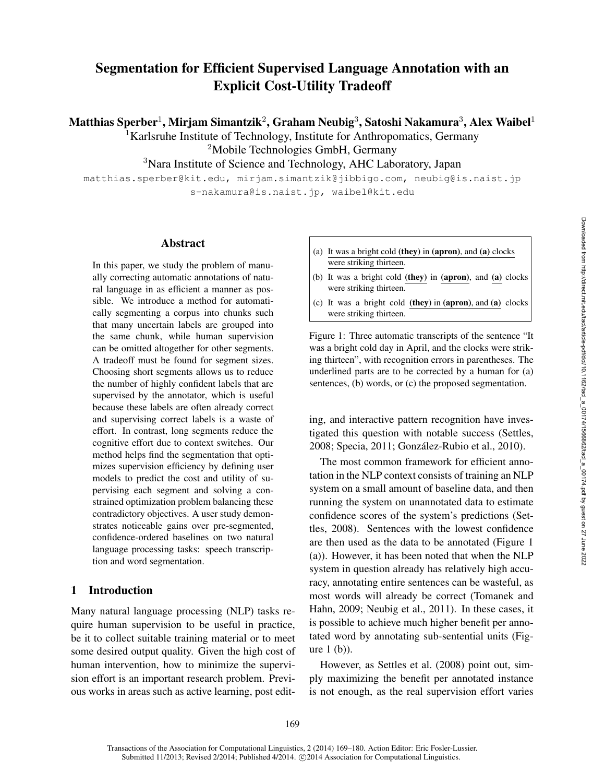# Segmentation for Efficient Supervised Language Annotation with an Explicit Cost-Utility Tradeoff

Matthias Sperber<sup>1</sup>, Mirjam Simantzik<sup>2</sup>, Graham Neubig<sup>3</sup>, Satoshi Nakamura<sup>3</sup>, Alex Waibel<sup>1</sup>

<sup>1</sup>Karlsruhe Institute of Technology, Institute for Anthropomatics, Germany

<sup>2</sup>Mobile Technologies GmbH, Germany

<sup>3</sup>Nara Institute of Science and Technology, AHC Laboratory, Japan

matthias.sperber@kit.edu, mirjam.simantzik@jibbigo.com, neubig@is.naist.jp s-nakamura@is.naist.jp, waibel@kit.edu

## Abstract

In this paper, we study the problem of manually correcting automatic annotations of natural language in as efficient a manner as possible. We introduce a method for automatically segmenting a corpus into chunks such that many uncertain labels are grouped into the same chunk, while human supervision can be omitted altogether for other segments. A tradeoff must be found for segment sizes. Choosing short segments allows us to reduce the number of highly confident labels that are supervised by the annotator, which is useful because these labels are often already correct and supervising correct labels is a waste of effort. In contrast, long segments reduce the cognitive effort due to context switches. Our method helps find the segmentation that optimizes supervision efficiency by defining user models to predict the cost and utility of supervising each segment and solving a constrained optimization problem balancing these contradictory objectives. A user study demonstrates noticeable gains over pre-segmented, confidence-ordered baselines on two natural language processing tasks: speech transcription and word segmentation.

# 1 Introduction

Many natural language processing (NLP) tasks require human supervision to be useful in practice, be it to collect suitable training material or to meet some desired output quality. Given the high cost of human intervention, how to minimize the supervision effort is an important research problem. Previous works in areas such as active learning, post edit-

| (a) It was a bright cold (they) in (apron), and (a) clocks |  |
|------------------------------------------------------------|--|
| were striking thirteen.                                    |  |

- (b) It was a bright cold (they) in (apron), and (a) clocks were striking thirteen.
- (c) It was a bright cold (they) in (apron), and (a) clocks were striking thirteen.

Figure 1: Three automatic transcripts of the sentence "It was a bright cold day in April, and the clocks were striking thirteen", with recognition errors in parentheses. The underlined parts are to be corrected by a human for (a) sentences, (b) words, or (c) the proposed segmentation.

ing, and interactive pattern recognition have investigated this question with notable success (Settles, 2008; Specia, 2011; Gonzalez-Rubio et al., 2010). ´

The most common framework for efficient annotation in the NLP context consists of training an NLP system on a small amount of baseline data, and then running the system on unannotated data to estimate confidence scores of the system's predictions (Settles, 2008). Sentences with the lowest confidence are then used as the data to be annotated (Figure 1 (a)). However, it has been noted that when the NLP system in question already has relatively high accuracy, annotating entire sentences can be wasteful, as most words will already be correct (Tomanek and Hahn, 2009; Neubig et al., 2011). In these cases, it is possible to achieve much higher benefit per annotated word by annotating sub-sentential units (Figure 1 (b)).

However, as Settles et al. (2008) point out, simply maximizing the benefit per annotated instance is not enough, as the real supervision effort varies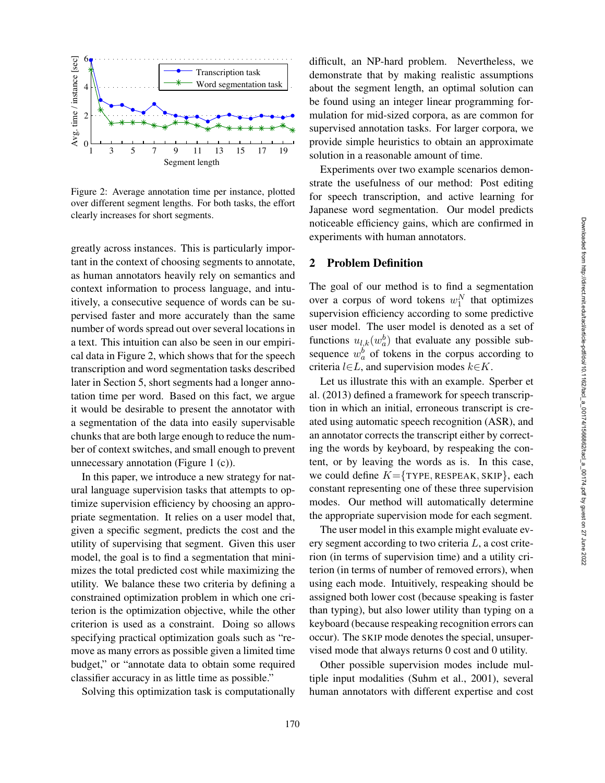

Figure 2: Average annotation time per instance, plotted over different segment lengths. For both tasks, the effort clearly increases for short segments.

greatly across instances. This is particularly important in the context of choosing segments to annotate, as human annotators heavily rely on semantics and context information to process language, and intuitively, a consecutive sequence of words can be supervised faster and more accurately than the same number of words spread out over several locations in a text. This intuition can also be seen in our empirical data in Figure 2, which shows that for the speech transcription and word segmentation tasks described later in Section 5, short segments had a longer annotation time per word. Based on this fact, we argue it would be desirable to present the annotator with a segmentation of the data into easily supervisable chunks that are both large enough to reduce the number of context switches, and small enough to prevent unnecessary annotation (Figure 1 (c)).

In this paper, we introduce a new strategy for natural language supervision tasks that attempts to optimize supervision efficiency by choosing an appropriate segmentation. It relies on a user model that, given a specific segment, predicts the cost and the utility of supervising that segment. Given this user model, the goal is to find a segmentation that minimizes the total predicted cost while maximizing the utility. We balance these two criteria by defining a constrained optimization problem in which one criterion is the optimization objective, while the other criterion is used as a constraint. Doing so allows specifying practical optimization goals such as "remove as many errors as possible given a limited time budget," or "annotate data to obtain some required classifier accuracy in as little time as possible."

Solving this optimization task is computationally

difficult, an NP-hard problem. Nevertheless, we demonstrate that by making realistic assumptions about the segment length, an optimal solution can be found using an integer linear programming formulation for mid-sized corpora, as are common for supervised annotation tasks. For larger corpora, we provide simple heuristics to obtain an approximate solution in a reasonable amount of time.

Experiments over two example scenarios demonstrate the usefulness of our method: Post editing for speech transcription, and active learning for Japanese word segmentation. Our model predicts noticeable efficiency gains, which are confirmed in experiments with human annotators.

## 2 Problem Definition

The goal of our method is to find a segmentation over a corpus of word tokens  $w_1^N$  that optimizes supervision efficiency according to some predictive user model. The user model is denoted as a set of functions  $u_{l,k}(w_a^b)$  that evaluate any possible subsequence  $w_a^b$  of tokens in the corpus according to criteria  $l \in L$ , and supervision modes  $k \in K$ .

Let us illustrate this with an example. Sperber et al. (2013) defined a framework for speech transcription in which an initial, erroneous transcript is created using automatic speech recognition (ASR), and an annotator corrects the transcript either by correcting the words by keyboard, by respeaking the content, or by leaving the words as is. In this case, we could define  $K = \{$  TYPE, RESPEAK, SKIP $\}$ , each constant representing one of these three supervision modes. Our method will automatically determine the appropriate supervision mode for each segment.

The user model in this example might evaluate every segment according to two criteria L, a cost criterion (in terms of supervision time) and a utility criterion (in terms of number of removed errors), when using each mode. Intuitively, respeaking should be assigned both lower cost (because speaking is faster than typing), but also lower utility than typing on a keyboard (because respeaking recognition errors can occur). The SKIP mode denotes the special, unsupervised mode that always returns 0 cost and 0 utility.

Other possible supervision modes include multiple input modalities (Suhm et al., 2001), several human annotators with different expertise and cost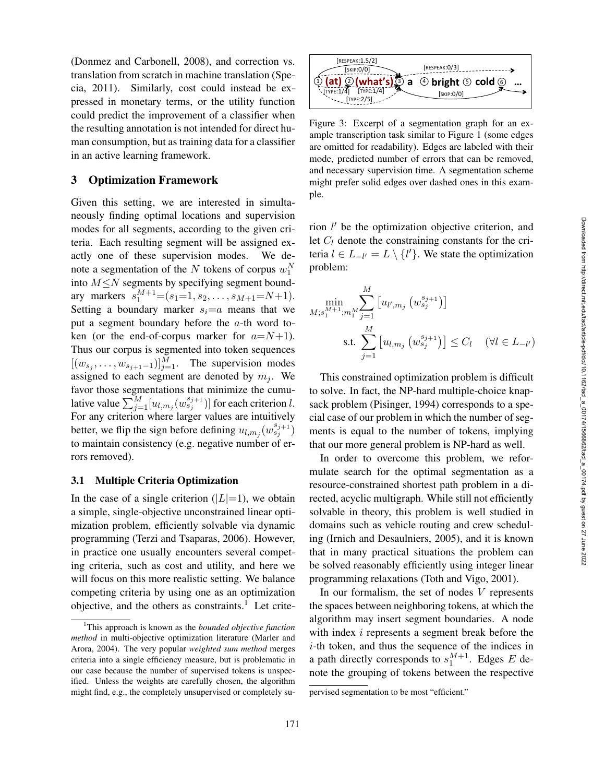(Donmez and Carbonell, 2008), and correction vs. translation from scratch in machine translation (Specia, 2011). Similarly, cost could instead be expressed in monetary terms, or the utility function could predict the improvement of a classifier when the resulting annotation is not intended for direct human consumption, but as training data for a classifier in an active learning framework.

## 3 Optimization Framework

Given this setting, we are interested in simultaneously finding optimal locations and supervision modes for all segments, according to the given criteria. Each resulting segment will be assigned exactly one of these supervision modes. We denote a segmentation of the N tokens of corpus  $w_1^N$ into  $M \leq N$  segments by specifying segment boundinto  $M \le N$  segments by specifying segment bound-<br>ary markers  $s_1^{M+1} = (s_1 = 1, s_2, \dots, s_{M+1} = N+1)$ . Setting a boundary marker  $s_i = a$  means that we put a segment boundary before the  $a$ -th word token (or the end-of-corpus marker for  $a=N+1$ ). Thus our corpus is segmented into token sequences  $[(w_{s_j},...,w_{s_{j+1}-1})]_{j=1}^M$ . The supervision modes assigned to each segment are denoted by  $m_j$ . We favor those segmentations that minimize the cumulative value  $\sum_{j=1}^{M} [u_{l,m_j}(w_{s_j}^{s_{j+1}})]$  for each criterion l. For any criterion where larger values are intuitively better, we flip the sign before defining  $u_{l,m_j}(w_{s_j}^{s_{j+1}})$ to maintain consistency (e.g. negative number of errors removed).

#### 3.1 Multiple Criteria Optimization

In the case of a single criterion ( $|L|=1$ ), we obtain a simple, single-objective unconstrained linear optimization problem, efficiently solvable via dynamic programming (Terzi and Tsaparas, 2006). However, in practice one usually encounters several competing criteria, such as cost and utility, and here we will focus on this more realistic setting. We balance competing criteria by using one as an optimization objective, and the others as constraints.<sup>1</sup> Let crite-



Figure 3: Excerpt of a segmentation graph for an example transcription task similar to Figure 1 (some edges are omitted for readability). Edges are labeled with their mode, predicted number of errors that can be removed, and necessary supervision time. A segmentation scheme might prefer solid edges over dashed ones in this example.

rion  $l'$  be the optimization objective criterion, and let  $C_l$  denote the constraining constants for the criteria  $l \in L_{-l'} = L \setminus \{l'\}$ . We state the optimization problem:

$$
\min_{M; s_1^{M+1}; m_1^M} \sum_{j=1}^M \left[ u_{l',m_j} \left( w_{s_j}^{s_{j+1}} \right) \right]
$$
\n
$$
\text{s.t. } \sum_{j=1}^M \left[ u_{l,m_j} \left( w_{s_j}^{s_{j+1}} \right) \right] \le C_l \quad (\forall l \in L_{-l'})
$$

This constrained optimization problem is difficult to solve. In fact, the NP-hard multiple-choice knapsack problem (Pisinger, 1994) corresponds to a special case of our problem in which the number of segments is equal to the number of tokens, implying that our more general problem is NP-hard as well.

In order to overcome this problem, we reformulate search for the optimal segmentation as a resource-constrained shortest path problem in a directed, acyclic multigraph. While still not efficiently solvable in theory, this problem is well studied in domains such as vehicle routing and crew scheduling (Irnich and Desaulniers, 2005), and it is known that in many practical situations the problem can be solved reasonably efficiently using integer linear programming relaxations (Toth and Vigo, 2001).

In our formalism, the set of nodes V represents the spaces between neighboring tokens, at which the algorithm may insert segment boundaries. A node with index  $i$  represents a segment break before the i-th token, and thus the sequence of the indices in a path directly corresponds to  $s_1^{M+1}$ . Edges E denote the grouping of tokens between the respective

<sup>1</sup> This approach is known as the *bounded objective function method* in multi-objective optimization literature (Marler and Arora, 2004). The very popular *weighted sum method* merges criteria into a single efficiency measure, but is problematic in our case because the number of supervised tokens is unspecified. Unless the weights are carefully chosen, the algorithm might find, e.g., the completely unsupervised or completely su-

pervised segmentation to be most "efficient."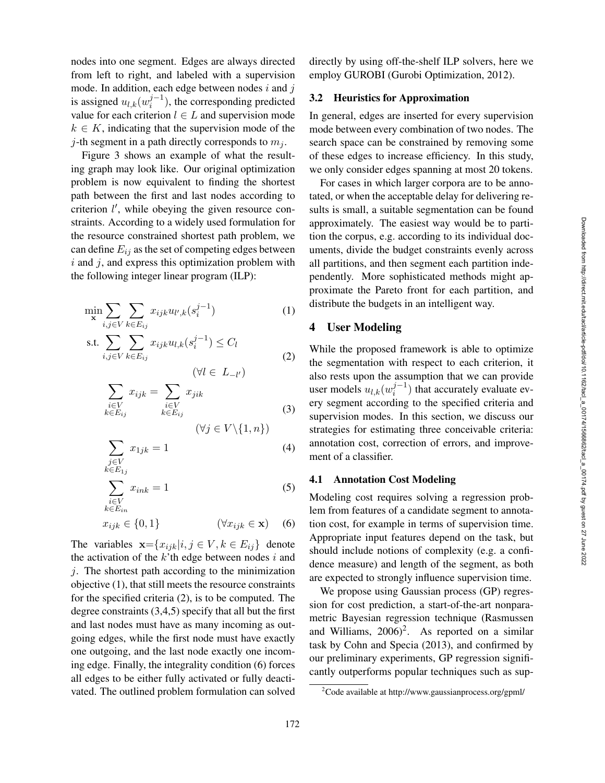nodes into one segment. Edges are always directed from left to right, and labeled with a supervision mode. In addition, each edge between nodes  $i$  and  $j$ is assigned  $u_{l,k}(w_i^{j-1})$  $i^{j-1}$ ), the corresponding predicted value for each criterion  $l \in L$  and supervision mode  $k \in K$ , indicating that the supervision mode of the *j*-th segment in a path directly corresponds to  $m_j$ .

Figure 3 shows an example of what the resulting graph may look like. Our original optimization problem is now equivalent to finding the shortest path between the first and last nodes according to criterion  $l'$ , while obeying the given resource constraints. According to a widely used formulation for the resource constrained shortest path problem, we can define  $E_{ij}$  as the set of competing edges between  $i$  and  $j$ , and express this optimization problem with the following integer linear program (ILP):

$$
\min_{\mathbf{x}} \sum_{i,j \in V} \sum_{k \in E_{ij}} x_{ijk} u_{l',k} (s_i^{j-1}) \tag{1}
$$

s.t. 
$$
\sum_{i,j \in V} \sum_{k \in E_{ij}} x_{ijk} u_{l,k} (s_i^{j-1}) \leq C_l
$$
  

$$
(\forall l \in L_{-l'})
$$
 (2)

$$
\sum_{\substack{i \in V \\ k \in E_{ij}}} x_{ijk} = \sum_{\substack{i \in V \\ k \in E_{ij}}} x_{jik}
$$
\n
$$
(\forall j \in V \setminus \{1, n\})
$$
\n(3)

$$
\sum_{\substack{j\in V\\k\in E_{1j}}} x_{1jk} = 1\tag{4}
$$

$$
\sum_{\substack{i \in V \\ k \in E_{in}}} x_{ink} = 1 \tag{5}
$$

$$
x_{ijk} \in \{0, 1\} \qquad (\forall x_{ijk} \in \mathbf{x}) \quad (6)
$$

The variables  $\mathbf{x} = \{x_{ijk} | i, j \in V, k \in E_{ij}\}\$  denote the activation of the  $k$ 'th edge between nodes  $i$  and  $j$ . The shortest path according to the minimization objective (1), that still meets the resource constraints for the specified criteria (2), is to be computed. The degree constraints (3,4,5) specify that all but the first and last nodes must have as many incoming as outgoing edges, while the first node must have exactly one outgoing, and the last node exactly one incoming edge. Finally, the integrality condition (6) forces all edges to be either fully activated or fully deactivated. The outlined problem formulation can solved directly by using off-the-shelf ILP solvers, here we employ GUROBI (Gurobi Optimization, 2012).

#### 3.2 Heuristics for Approximation

In general, edges are inserted for every supervision mode between every combination of two nodes. The search space can be constrained by removing some of these edges to increase efficiency. In this study, we only consider edges spanning at most 20 tokens.

For cases in which larger corpora are to be annotated, or when the acceptable delay for delivering results is small, a suitable segmentation can be found approximately. The easiest way would be to partition the corpus, e.g. according to its individual documents, divide the budget constraints evenly across all partitions, and then segment each partition independently. More sophisticated methods might approximate the Pareto front for each partition, and distribute the budgets in an intelligent way.

#### 4 User Modeling

While the proposed framework is able to optimize the segmentation with respect to each criterion, it also rests upon the assumption that we can provide user models  $u_{l,k}(w_i^{j-1})$  $i^{(j-1)}$  that accurately evaluate every segment according to the specified criteria and supervision modes. In this section, we discuss our strategies for estimating three conceivable criteria: annotation cost, correction of errors, and improvement of a classifier.

#### 4.1 Annotation Cost Modeling

Modeling cost requires solving a regression problem from features of a candidate segment to annotation cost, for example in terms of supervision time. Appropriate input features depend on the task, but should include notions of complexity (e.g. a confidence measure) and length of the segment, as both are expected to strongly influence supervision time.

We propose using Gaussian process (GP) regression for cost prediction, a start-of-the-art nonparametric Bayesian regression technique (Rasmussen and Williams, 2006) 2. As reported on a similar task by Cohn and Specia (2013), and confirmed by our preliminary experiments, GP regression significantly outperforms popular techniques such as sup-

<sup>&</sup>lt;sup>2</sup>Code available at http://www.gaussianprocess.org/gpml/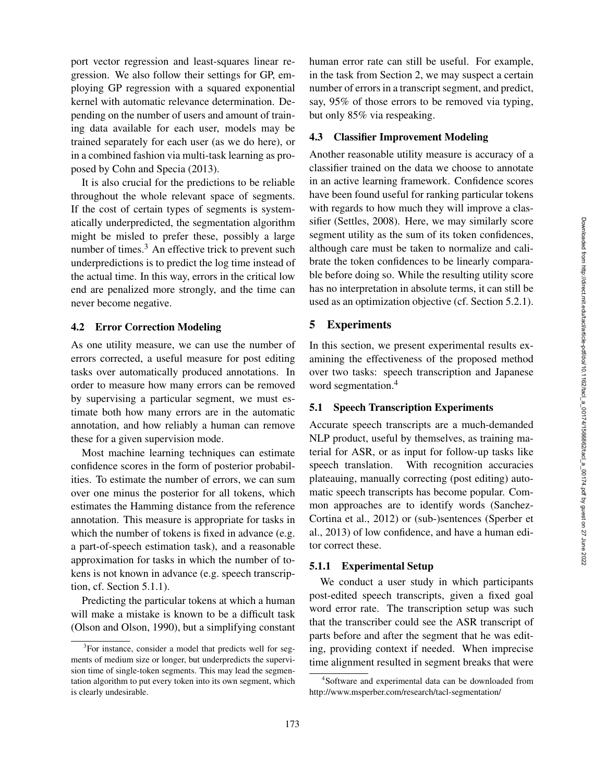port vector regression and least-squares linear regression. We also follow their settings for GP, employing GP regression with a squared exponential kernel with automatic relevance determination. Depending on the number of users and amount of training data available for each user, models may be trained separately for each user (as we do here), or in a combined fashion via multi-task learning as proposed by Cohn and Specia (2013).

It is also crucial for the predictions to be reliable throughout the whole relevant space of segments. If the cost of certain types of segments is systematically underpredicted, the segmentation algorithm might be misled to prefer these, possibly a large number of times.<sup>3</sup> An effective trick to prevent such underpredictions is to predict the log time instead of the actual time. In this way, errors in the critical low end are penalized more strongly, and the time can never become negative.

## 4.2 Error Correction Modeling

As one utility measure, we can use the number of errors corrected, a useful measure for post editing tasks over automatically produced annotations. In order to measure how many errors can be removed by supervising a particular segment, we must estimate both how many errors are in the automatic annotation, and how reliably a human can remove these for a given supervision mode.

Most machine learning techniques can estimate confidence scores in the form of posterior probabilities. To estimate the number of errors, we can sum over one minus the posterior for all tokens, which estimates the Hamming distance from the reference annotation. This measure is appropriate for tasks in which the number of tokens is fixed in advance (e.g. a part-of-speech estimation task), and a reasonable approximation for tasks in which the number of tokens is not known in advance (e.g. speech transcription, cf. Section 5.1.1).

Predicting the particular tokens at which a human will make a mistake is known to be a difficult task (Olson and Olson, 1990), but a simplifying constant human error rate can still be useful. For example, in the task from Section 2, we may suspect a certain number of errors in a transcript segment, and predict, say, 95% of those errors to be removed via typing, but only 85% via respeaking.

## 4.3 Classifier Improvement Modeling

Another reasonable utility measure is accuracy of a classifier trained on the data we choose to annotate in an active learning framework. Confidence scores have been found useful for ranking particular tokens with regards to how much they will improve a classifier (Settles, 2008). Here, we may similarly score segment utility as the sum of its token confidences, although care must be taken to normalize and calibrate the token confidences to be linearly comparable before doing so. While the resulting utility score has no interpretation in absolute terms, it can still be used as an optimization objective (cf. Section 5.2.1).

### 5 Experiments

In this section, we present experimental results examining the effectiveness of the proposed method over two tasks: speech transcription and Japanese word segmentation. 4

## 5.1 Speech Transcription Experiments

Accurate speech transcripts are a much-demanded NLP product, useful by themselves, as training material for ASR, or as input for follow-up tasks like speech translation. With recognition accuracies plateauing, manually correcting (post editing) automatic speech transcripts has become popular. Common approaches are to identify words (Sanchez-Cortina et al., 2012) or (sub-)sentences (Sperber et al., 2013) of low confidence, and have a human editor correct these.

## 5.1.1 Experimental Setup

We conduct a user study in which participants post-edited speech transcripts, given a fixed goal word error rate. The transcription setup was such that the transcriber could see the ASR transcript of parts before and after the segment that he was editing, providing context if needed. When imprecise time alignment resulted in segment breaks that were

<sup>&</sup>lt;sup>3</sup>For instance, consider a model that predicts well for segments of medium size or longer, but underpredicts the supervision time of single-token segments. This may lead the segmentation algorithm to put every token into its own segment, which is clearly undesirable.

<sup>4</sup> Software and experimental data can be downloaded from http://www.msperber.com/research/tacl-segmentation/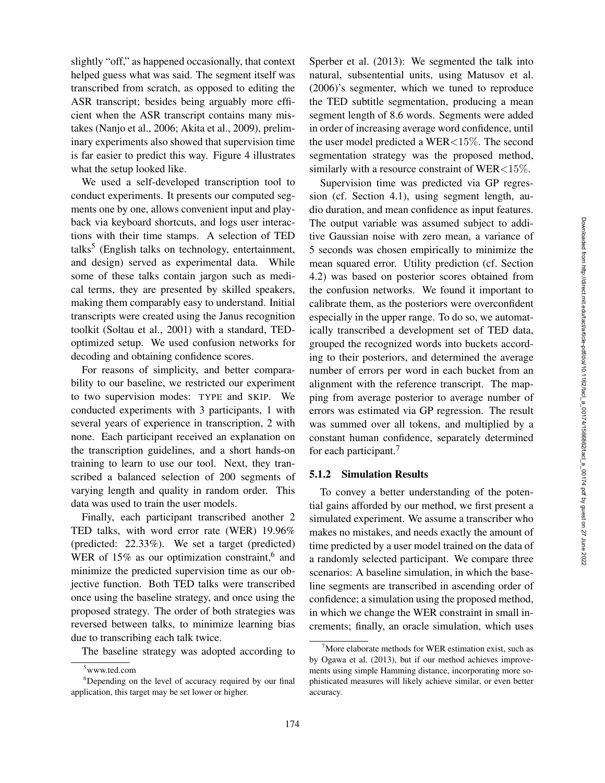slightly "off," as happened occasionally, that context helped guess what was said. The segment itself was transcribed from scratch, as opposed to editing the ASR transcript; besides being arguably more efficient when the ASR transcript contains many mistakes (Nanjo et al., 2006; Akita et al., 2009), preliminary experiments also showed that supervision time is far easier to predict this way. Figure 4 illustrates what the setup looked like.

We used a self-developed transcription tool to conduct experiments. It presents our computed segments one by one, allows convenient input and playback via keyboard shortcuts, and logs user interactions with their time stamps. A selection of TED talks<sup>5</sup> (English talks on technology, entertainment, and design) served as experimental data. While some of these talks contain jargon such as medical terms, they are presented by skilled speakers, making them comparably easy to understand. Initial transcripts were created using the Janus recognition toolkit (Soltau et al., 2001) with a standard, TEDoptimized setup. We used confusion networks for decoding and obtaining confidence scores.

For reasons of simplicity, and better comparability to our baseline, we restricted our experiment to two supervision modes: TYPE and SKIP. We conducted experiments with 3 participants, 1 with several years of experience in transcription, 2 with none. Each participant received an explanation on the transcription guidelines, and a short hands-on training to learn to use our tool. Next, they transcribed a balanced selection of 200 segments of varying length and quality in random order. This data was used to train the user models.

Finally, each participant transcribed another 2 TED talks, with word error rate (WER) 19.96% (predicted: 22.33%). We set a target (predicted) WER of 15% as our optimization constraint,  $6$  and minimize the predicted supervision time as our objective function. Both TED talks were transcribed once using the baseline strategy, and once using the proposed strategy. The order of both strategies was reversed between talks, to minimize learning bias due to transcribing each talk twice.

The baseline strategy was adopted according to

Sperber et al. (2013): We segmented the talk into natural, subsentential units, using Matusov et al. (2006)'s segmenter, which we tuned to reproduce the TED subtitle segmentation, producing a mean segment length of 8.6 words. Segments were added in order of increasing average word confidence, until the user model predicted a WER <15%. The second segmentation strategy was the proposed method, similarly with a resource constraint of WER $<$ 15%.

Supervision time was predicted via GP regression (cf. Section 4.1), using segment length, audio duration, and mean confidence as input features. The output variable was assumed subject to additive Gaussian noise with zero mean, a variance of 5 seconds was chosen empirically to minimize the mean squared error. Utility prediction (cf. Section 4.2) was based on posterior scores obtained from the confusion networks. We found it important to calibrate them, as the posteriors were overconfident especially in the upper range. To do so, we automatically transcribed a development set of TED data, grouped the recognized words into buckets according to their posteriors, and determined the average number of errors per word in each bucket from an alignment with the reference transcript. The mapping from average posterior to average number of errors was estimated via GP regression. The result was summed over all tokens, and multiplied by a constant human confidence, separately determined for each participant.<sup>7</sup>

#### 5.1.2 Simulation Results

To convey a better understanding of the potential gains afforded by our method, we first present a simulated experiment. We assume a transcriber who makes no mistakes, and needs exactly the amount of time predicted by a user model trained on the data of a randomly selected participant. We compare three scenarios: A baseline simulation, in which the baseline segments are transcribed in ascending order of confidence; a simulation using the proposed method, in which we change the WER constraint in small increments; finally, an oracle simulation, which uses

<sup>5</sup> www.ted.com

<sup>&</sup>lt;sup>6</sup>Depending on the level of accuracy required by our final application, this target may be set lower or higher.

<sup>7</sup> More elaborate methods for WER estimation exist, such as by Ogawa et al. (2013), but if our method achieves improvements using simple Hamming distance, incorporating more sophisticated measures will likely achieve similar, or even better accuracy.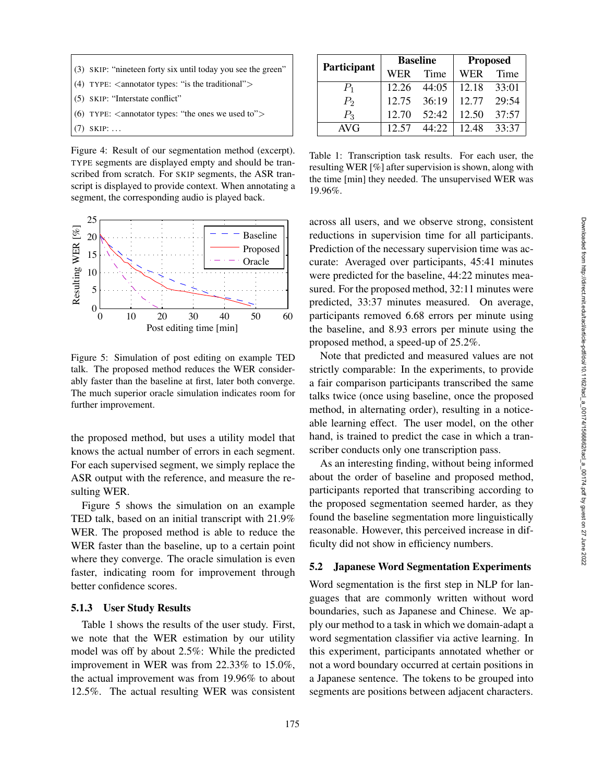| $(3)$ SKIP: "nineteen forty six until today you see the green" |
|----------------------------------------------------------------|
| $ (4)$ TYPE: $\leq$ annotator types: "is the traditional">     |
| $(5)$ SKIP: "Interstate conflict"                              |
| $(6)$ TYPE: $\leq$ annotator types: "the ones we used to" $>$  |
| $(7)$ SKIP:                                                    |

Figure 4: Result of our segmentation method (excerpt). TYPE segments are displayed empty and should be transcribed from scratch. For SKIP segments, the ASR transcript is displayed to provide context. When annotating a segment, the corresponding audio is played back.



Figure 5: Simulation of post editing on example TED talk. The proposed method reduces the WER considerably faster than the baseline at first, later both converge. The much superior oracle simulation indicates room for further improvement.

the proposed method, but uses a utility model that knows the actual number of errors in each segment. For each supervised segment, we simply replace the ASR output with the reference, and measure the resulting WER.

Figure 5 shows the simulation on an example TED talk, based on an initial transcript with 21.9% WER. The proposed method is able to reduce the WER faster than the baseline, up to a certain point where they converge. The oracle simulation is even faster, indicating room for improvement through better confidence scores.

#### 5.1.3 User Study Results

Table 1 shows the results of the user study. First, we note that the WER estimation by our utility model was off by about 2.5%: While the predicted improvement in WER was from 22.33% to 15.0%, the actual improvement was from 19.96% to about 12.5%. The actual resulting WER was consistent

| Participant | <b>Baseline</b> |       | <b>Proposed</b> |             |
|-------------|-----------------|-------|-----------------|-------------|
|             | WER             | Time  | WER             | Time        |
| $P_1$       | 12.26           | 44:05 | 12.18 33:01     |             |
| $P_2$       | 12.75           | 36:19 | 12.77           | 29:54       |
| $P_3$       | 12.70           | 52:42 | 12.50           | 37:57       |
| <b>AVG</b>  | 12.57           | 44.22 |                 | 12.48 33:37 |

Table 1: Transcription task results. For each user, the resulting WER [%] after supervision is shown, along with the time [min] they needed. The unsupervised WER was 19.96%.

across all users, and we observe strong, consistent reductions in supervision time for all participants. Prediction of the necessary supervision time was accurate: Averaged over participants, 45:41 minutes were predicted for the baseline, 44:22 minutes measured. For the proposed method, 32:11 minutes were predicted, 33:37 minutes measured. On average, participants removed 6.68 errors per minute using the baseline, and 8.93 errors per minute using the proposed method, a speed-up of 25.2%.

Note that predicted and measured values are not strictly comparable: In the experiments, to provide a fair comparison participants transcribed the same talks twice (once using baseline, once the proposed method, in alternating order), resulting in a noticeable learning effect. The user model, on the other hand, is trained to predict the case in which a transcriber conducts only one transcription pass.

As an interesting finding, without being informed about the order of baseline and proposed method, participants reported that transcribing according to the proposed segmentation seemed harder, as they found the baseline segmentation more linguistically reasonable. However, this perceived increase in difficulty did not show in efficiency numbers.

#### 5.2 Japanese Word Segmentation Experiments

Word segmentation is the first step in NLP for languages that are commonly written without word boundaries, such as Japanese and Chinese. We apply our method to a task in which we domain-adapt a word segmentation classifier via active learning. In this experiment, participants annotated whether or not a word boundary occurred at certain positions in a Japanese sentence. The tokens to be grouped into segments are positions between adjacent characters.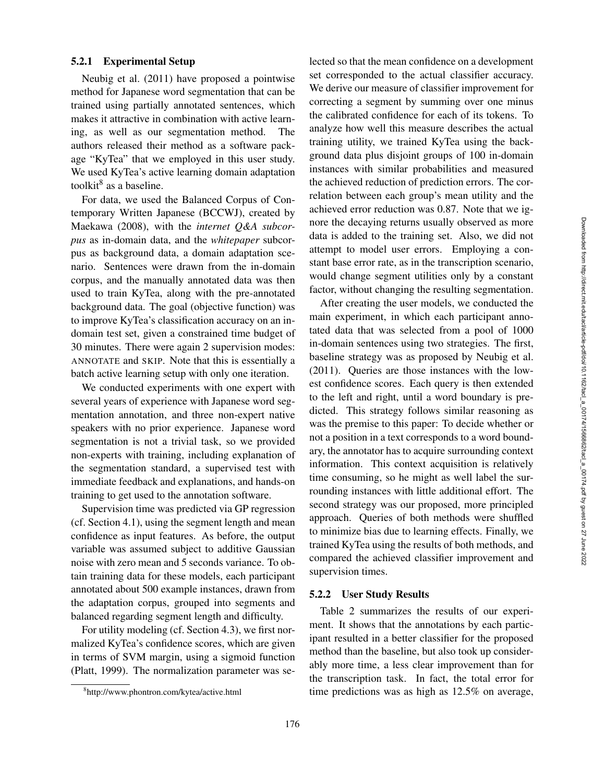#### 5.2.1 Experimental Setup

Neubig et al. (2011) have proposed a pointwise method for Japanese word segmentation that can be trained using partially annotated sentences, which makes it attractive in combination with active learning, as well as our segmentation method. The authors released their method as a software package "KyTea" that we employed in this user study. We used KyTea's active learning domain adaptation toolkit<sup>8</sup> as a baseline.

For data, we used the Balanced Corpus of Contemporary Written Japanese (BCCWJ), created by Maekawa (2008), with the *internet Q&A subcorpus* as in-domain data, and the *whitepaper* subcorpus as background data, a domain adaptation scenario. Sentences were drawn from the in-domain corpus, and the manually annotated data was then used to train KyTea, along with the pre-annotated background data. The goal (objective function) was to improve KyTea's classification accuracy on an indomain test set, given a constrained time budget of 30 minutes. There were again 2 supervision modes: ANNOTATE and SKIP. Note that this is essentially a batch active learning setup with only one iteration.

We conducted experiments with one expert with several years of experience with Japanese word segmentation annotation, and three non-expert native speakers with no prior experience. Japanese word segmentation is not a trivial task, so we provided non-experts with training, including explanation of the segmentation standard, a supervised test with immediate feedback and explanations, and hands-on training to get used to the annotation software.

Supervision time was predicted via GP regression (cf. Section 4.1), using the segment length and mean confidence as input features. As before, the output variable was assumed subject to additive Gaussian noise with zero mean and 5 seconds variance. To obtain training data for these models, each participant annotated about 500 example instances, drawn from the adaptation corpus, grouped into segments and balanced regarding segment length and difficulty.

For utility modeling (cf. Section 4.3), we first normalized KyTea's confidence scores, which are given in terms of SVM margin, using a sigmoid function (Platt, 1999). The normalization parameter was selected so that the mean confidence on a development set corresponded to the actual classifier accuracy. We derive our measure of classifier improvement for correcting a segment by summing over one minus the calibrated confidence for each of its tokens. To analyze how well this measure describes the actual training utility, we trained KyTea using the background data plus disjoint groups of 100 in-domain instances with similar probabilities and measured the achieved reduction of prediction errors. The correlation between each group's mean utility and the achieved error reduction was 0.87. Note that we ignore the decaying returns usually observed as more data is added to the training set. Also, we did not attempt to model user errors. Employing a constant base error rate, as in the transcription scenario, would change segment utilities only by a constant factor, without changing the resulting segmentation.

After creating the user models, we conducted the main experiment, in which each participant annotated data that was selected from a pool of 1000 in-domain sentences using two strategies. The first, baseline strategy was as proposed by Neubig et al. (2011). Queries are those instances with the lowest confidence scores. Each query is then extended to the left and right, until a word boundary is predicted. This strategy follows similar reasoning as was the premise to this paper: To decide whether or not a position in a text corresponds to a word boundary, the annotator has to acquire surrounding context information. This context acquisition is relatively time consuming, so he might as well label the surrounding instances with little additional effort. The second strategy was our proposed, more principled approach. Queries of both methods were shuffled to minimize bias due to learning effects. Finally, we trained KyTea using the results of both methods, and compared the achieved classifier improvement and supervision times.

#### 5.2.2 User Study Results

Table 2 summarizes the results of our experiment. It shows that the annotations by each participant resulted in a better classifier for the proposed method than the baseline, but also took up considerably more time, a less clear improvement than for the transcription task. In fact, the total error for time predictions was as high as 12.5% on average,

<sup>8</sup> http://www.phontron.com/kytea/active.html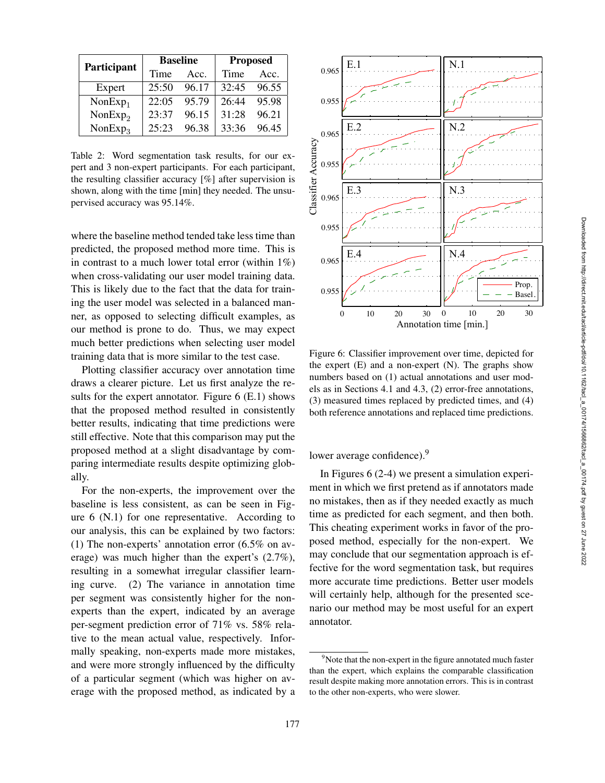| Participant         | <b>Baseline</b> |       | <b>Proposed</b> |       |
|---------------------|-----------------|-------|-----------------|-------|
|                     | Time            | Acc.  | Time            | Acc.  |
| Expert              | 25:50           | 96.17 | 32:45           | 96.55 |
| NonExp <sub>1</sub> | 22:05           | 95.79 | 26:44           | 95.98 |
| Non $Exp_2$         | 23:37           | 96.15 | 31:28           | 96.21 |
| NonExp <sub>3</sub> | 25:23           | 96.38 | 33:36           | 96.45 |

Table 2: Word segmentation task results, for our expert and 3 non-expert participants. For each participant, the resulting classifier accuracy [%] after supervision is shown, along with the time [min] they needed. The unsupervised accuracy was 95.14%.

where the baseline method tended take less time than predicted, the proposed method more time. This is in contrast to a much lower total error (within  $1\%$ ) when cross-validating our user model training data. This is likely due to the fact that the data for training the user model was selected in a balanced manner, as opposed to selecting difficult examples, as our method is prone to do. Thus, we may expect much better predictions when selecting user model training data that is more similar to the test case.

Plotting classifier accuracy over annotation time draws a clearer picture. Let us first analyze the results for the expert annotator. Figure 6 (E.1) shows that the proposed method resulted in consistently better results, indicating that time predictions were still effective. Note that this comparison may put the proposed method at a slight disadvantage by comparing intermediate results despite optimizing globally.

For the non-experts, the improvement over the baseline is less consistent, as can be seen in Figure 6 (N.1) for one representative. According to our analysis, this can be explained by two factors: (1) The non-experts' annotation error (6.5% on average) was much higher than the expert's (2.7%), resulting in a somewhat irregular classifier learning curve. (2) The variance in annotation time per segment was consistently higher for the nonexperts than the expert, indicated by an average per-segment prediction error of 71% vs. 58% relative to the mean actual value, respectively. Informally speaking, non-experts made more mistakes, and were more strongly influenced by the difficulty of a particular segment (which was higher on average with the proposed method, as indicated by a



Figure 6: Classifier improvement over time, depicted for the expert  $(E)$  and a non-expert  $(N)$ . The graphs show numbers based on (1) actual annotations and user models as in Sections 4.1 and 4.3, (2) error-free annotations, (3) measured times replaced by predicted times, and (4) both reference annotations and replaced time predictions.

lower average confidence).<sup>9</sup>

In Figures 6 (2-4) we present a simulation experiment in which we first pretend as if annotators made no mistakes, then as if they needed exactly as much time as predicted for each segment, and then both. This cheating experiment works in favor of the proposed method, especially for the non-expert. We may conclude that our segmentation approach is effective for the word segmentation task, but requires more accurate time predictions. Better user models will certainly help, although for the presented scenario our method may be most useful for an expert annotator.

<sup>&</sup>lt;sup>9</sup>Note that the non-expert in the figure annotated much faster than the expert, which explains the comparable classification result despite making more annotation errors. This is in contrast to the other non-experts, who were slower.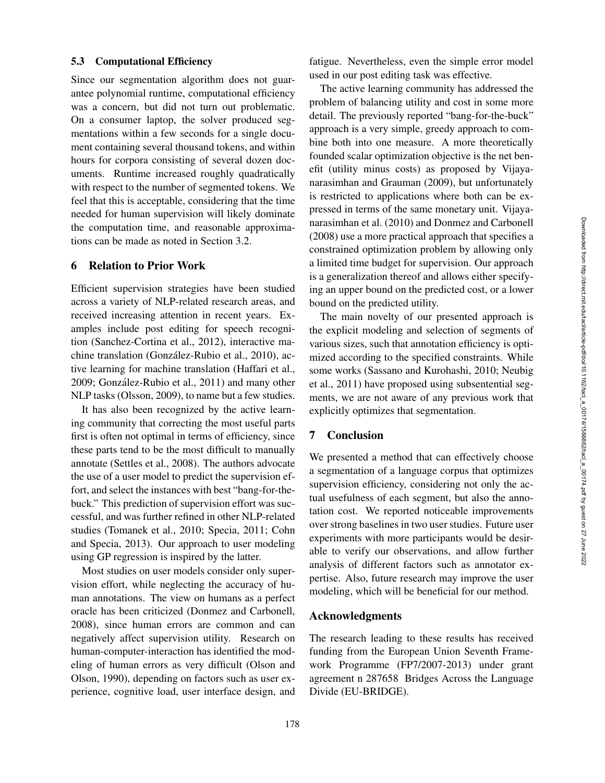# 5.3 Computational Efficiency

Since our segmentation algorithm does not guarantee polynomial runtime, computational efficiency was a concern, but did not turn out problematic. On a consumer laptop, the solver produced segmentations within a few seconds for a single document containing several thousand tokens, and within hours for corpora consisting of several dozen documents. Runtime increased roughly quadratically with respect to the number of segmented tokens. We feel that this is acceptable, considering that the time needed for human supervision will likely dominate the computation time, and reasonable approximations can be made as noted in Section 3.2.

# 6 Relation to Prior Work

Efficient supervision strategies have been studied across a variety of NLP-related research areas, and received increasing attention in recent years. Examples include post editing for speech recognition (Sanchez-Cortina et al., 2012), interactive machine translation (Gonzalez-Rubio et al., 2010), ac- ´ tive learning for machine translation (Haffari et al., 2009; González-Rubio et al., 2011) and many other NLP tasks (Olsson, 2009), to name but a few studies.

It has also been recognized by the active learning community that correcting the most useful parts first is often not optimal in terms of efficiency, since these parts tend to be the most difficult to manually annotate (Settles et al., 2008). The authors advocate the use of a user model to predict the supervision effort, and select the instances with best "bang-for-thebuck." This prediction of supervision effort was successful, and was further refined in other NLP-related studies (Tomanek et al., 2010; Specia, 2011; Cohn and Specia, 2013). Our approach to user modeling using GP regression is inspired by the latter.

Most studies on user models consider only supervision effort, while neglecting the accuracy of human annotations. The view on humans as a perfect oracle has been criticized (Donmez and Carbonell, 2008), since human errors are common and can negatively affect supervision utility. Research on human-computer-interaction has identified the modeling of human errors as very difficult (Olson and Olson, 1990), depending on factors such as user experience, cognitive load, user interface design, and fatigue. Nevertheless, even the simple error model used in our post editing task was effective.

The active learning community has addressed the problem of balancing utility and cost in some more detail. The previously reported "bang-for-the-buck" approach is a very simple, greedy approach to combine both into one measure. A more theoretically founded scalar optimization objective is the net benefit (utility minus costs) as proposed by Vijayanarasimhan and Grauman (2009), but unfortunately is restricted to applications where both can be expressed in terms of the same monetary unit. Vijayanarasimhan et al. (2010) and Donmez and Carbonell (2008) use a more practical approach that specifies a constrained optimization problem by allowing only a limited time budget for supervision. Our approach is a generalization thereof and allows either specifying an upper bound on the predicted cost, or a lower bound on the predicted utility.

The main novelty of our presented approach is the explicit modeling and selection of segments of various sizes, such that annotation efficiency is optimized according to the specified constraints. While some works (Sassano and Kurohashi, 2010; Neubig et al., 2011) have proposed using subsentential segments, we are not aware of any previous work that explicitly optimizes that segmentation.

# 7 Conclusion

We presented a method that can effectively choose a segmentation of a language corpus that optimizes supervision efficiency, considering not only the actual usefulness of each segment, but also the annotation cost. We reported noticeable improvements over strong baselines in two user studies. Future user experiments with more participants would be desirable to verify our observations, and allow further analysis of different factors such as annotator expertise. Also, future research may improve the user modeling, which will be beneficial for our method.

## Acknowledgments

The research leading to these results has received funding from the European Union Seventh Framework Programme (FP7/2007-2013) under grant agreement n 287658 Bridges Across the Language Divide (EU-BRIDGE).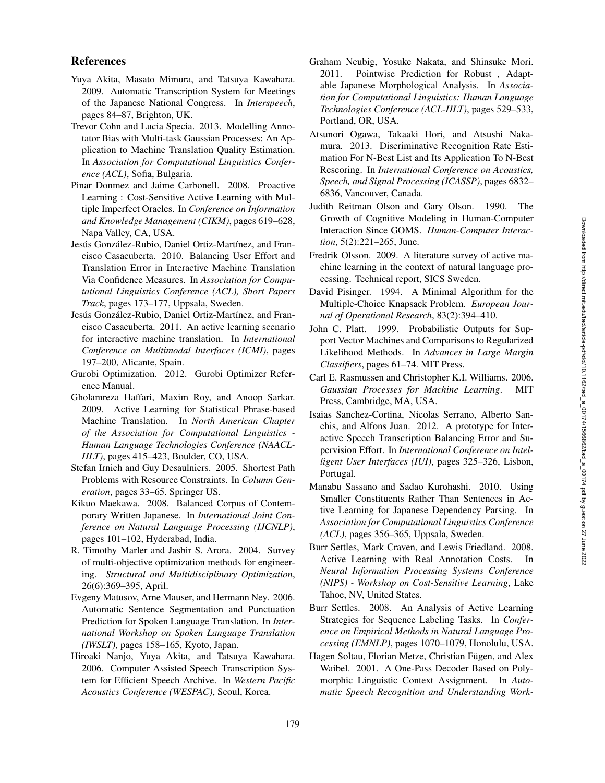## References

- Yuya Akita, Masato Mimura, and Tatsuya Kawahara. 2009. Automatic Transcription System for Meetings of the Japanese National Congress. In *Interspeech* , pages 84–87, Brighton, UK.
- Trevor Cohn and Lucia Specia. 2013. Modelling Annotator Bias with Multi-task Gaussian Processes: An Application to Machine Translation Quality Estimation. In *Association for Computational Linguistics Conference (ACL)*, Sofia, Bulgaria.
- Pinar Donmez and Jaime Carbonell. 2008. Proactive Learning : Cost-Sensitive Active Learning with Multiple Imperfect Oracles. In *Conference on Information and Knowledge Management (CIKM)*, pages 619–628, Napa Valley, CA, USA.
- Jesús González-Rubio, Daniel Ortiz-Martínez, and Francisco Casacuberta. 2010. Balancing User Effort and Translation Error in Interactive Machine Translation Via Confidence Measures. In *Association for Computational Linguistics Conference (ACL), Short Papers Track*, pages 173–177, Uppsala, Sweden.
- Jesús González-Rubio, Daniel Ortiz-Martínez, and Francisco Casacuberta. 2011. An active learning scenario for interactive machine translation. In *International Conference on Multimodal Interfaces (ICMI)*, pages 197–200, Alicante, Spain.
- Gurobi Optimization. 2012. Gurobi Optimizer Reference Manual.
- Gholamreza Haffari, Maxim Roy, and Anoop Sarkar. 2009. Active Learning for Statistical Phrase-based Machine Translation. In *North American Chapter of the Association for Computational Linguistics - Human Language Technologies Conference (NAACL-HLT)*, pages 415–423, Boulder, CO, USA.
- Stefan Irnich and Guy Desaulniers. 2005. Shortest Path Problems with Resource Constraints. In *Column Generation*, pages 33–65. Springer US.
- Kikuo Maekawa. 2008. Balanced Corpus of Contemporary Written Japanese. In *International Joint Conference on Natural Language Processing (IJCNLP)*, pages 101–102, Hyderabad, India.
- R. Timothy Marler and Jasbir S. Arora. 2004. Survey of multi-objective optimization methods for engineering. *Structural and Multidisciplinary Optimization*, 26(6):369–395, April.
- Evgeny Matusov, Arne Mauser, and Hermann Ney. 2006. Automatic Sentence Segmentation and Punctuation Prediction for Spoken Language Translation. In *International Workshop on Spoken Language Translation (IWSLT)*, pages 158–165, Kyoto, Japan.
- Hiroaki Nanjo, Yuya Akita, and Tatsuya Kawahara. 2006. Computer Assisted Speech Transcription System for Efficient Speech Archive. In *Western Pacific Acoustics Conference (WESPAC)*, Seoul, Korea.
- Graham Neubig, Yosuke Nakata, and Shinsuke Mori. 2011. Pointwise Prediction for Robust , Adaptable Japanese Morphological Analysis. In *Association for Computational Linguistics: Human Language Technologies Conference (ACL-HLT)*, pages 529–533, Portland, OR, USA.
- Atsunori Ogawa, Takaaki Hori, and Atsushi Nakamura. 2013. Discriminative Recognition Rate Estimation For N-Best List and Its Application To N-Best Rescoring. In *International Conference on Acoustics, Speech, and Signal Processing (ICASSP)*, pages 6832– 6836, Vancouver, Canada.
- Judith Reitman Olson and Gary Olson. 1990. The Growth of Cognitive Modeling in Human-Computer Interaction Since GOMS. *Human-Computer Interaction*, 5(2):221–265, June.
- Fredrik Olsson. 2009. A literature survey of active machine learning in the context of natural language processing. Technical report, SICS Sweden.
- David Pisinger. 1994. A Minimal Algorithm for the Multiple-Choice Knapsack Problem. *European Journal of Operational Research*, 83(2):394–410.
- John C. Platt. 1999. Probabilistic Outputs for Support Vector Machines and Comparisons to Regularized Likelihood Methods. In *Advances in Large Margin Classifiers*, pages 61–74. MIT Press.
- Carl E. Rasmussen and Christopher K.I. Williams. 2006. *Gaussian Processes for Machine Learning*. MIT Press, Cambridge, MA, USA.
- Isaias Sanchez-Cortina, Nicolas Serrano, Alberto Sanchis, and Alfons Juan. 2012. A prototype for Interactive Speech Transcription Balancing Error and Supervision Effort. In *International Conference on Intelligent User Interfaces (IUI)*, pages 325–326, Lisbon, Portugal.
- Manabu Sassano and Sadao Kurohashi. 2010. Using Smaller Constituents Rather Than Sentences in Active Learning for Japanese Dependency Parsing. In *Association for Computational Linguistics Conference (ACL)*, pages 356–365, Uppsala, Sweden.
- Burr Settles, Mark Craven, and Lewis Friedland. 2008. Active Learning with Real Annotation Costs. In *Neural Information Processing Systems Conference (NIPS) - Workshop on Cost-Sensitive Learning*, Lake Tahoe, NV, United States.
- Burr Settles. 2008. An Analysis of Active Learning Strategies for Sequence Labeling Tasks. In *Conference on Empirical Methods in Natural Language Processing (EMNLP)*, pages 1070–1079, Honolulu, USA.
- Hagen Soltau, Florian Metze, Christian Fügen, and Alex Waibel. 2001. A One-Pass Decoder Based on Polymorphic Linguistic Context Assignment. In *Automatic Speech Recognition and Understanding Work-*